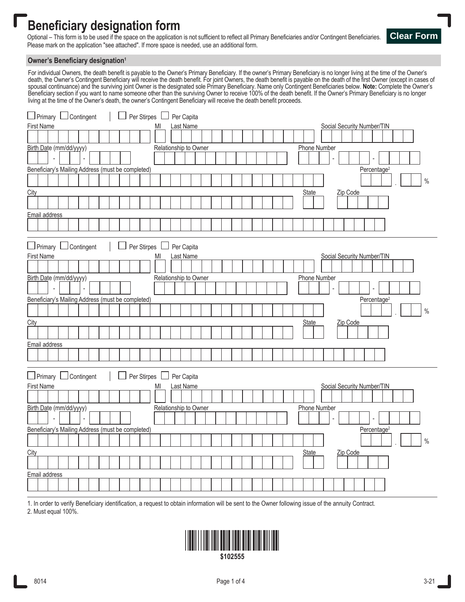## **Beneficiary designation form**

Optional – This form is to be used if the space on the application is not sufficient to reflect all Primary Beneficiaries and/or Contingent Beneficiaries. Please mark on the application "see attached". If more space is needed, use an additional form.



## **Owner's Beneficiary designation<sup>1</sup>**

For individual Owners, the death benefit is payable to the Owner's Primary Beneficiary. If the owner's Primary Beneficiary is no longer living at the time of the Owner's death, the Owner's Contingent Beneficiary will receive the death benefit. For joint Owners, the death benefit is payable on the death of the first Owner (except in cases of spousal continuance) and the surviving joint Owner is the designated sole Primary Beneficiary. Name only Contingent Beneficiaries below. **Note:** Complete the Owner's Beneficiary section if you want to name someone other than the surviving Owner to receive 100% of the death benefit. If the Owner's Primary Beneficiary is no longer living at the time of the Owner's death, the owner's Contingent Beneficiary will receive the death benefit proceeds.

| <b>Last Name</b><br>First Name<br>Social Security Number/TIN<br>MI<br>Birth Date (mm/dd/yyyy)<br>Relationship to Owner<br>Phone Number<br>Beneficiary's Mailing Address (must be completed)<br>Percentage <sup>2</sup><br>$\%$<br><b>State</b><br>City<br>Zip Code<br>Email address<br>□ Primary □ Contingent<br>Per Stirpes  <br>Per Capita<br>$\sqcup$<br><b>First Name</b><br>Last Name<br>Social Security Number/TIN<br>MI<br>Birth Date (mm/dd/yyyy)<br>Relationship to Owner<br><b>Phone Number</b><br>Beneficiary's Mailing Address (must be completed)<br>Percentage <sup>2</sup><br>$\%$<br>City<br><b>State</b><br>Zip Code<br>Email address<br>$\Box$ Primary $\Box$ Contingent<br>Per Stirpes<br>$\Box$ Per Capita<br>First Name<br>Last Name<br>Social Security Number/TIN<br>MI<br>Birth Date (mm/dd/yyyy)<br>Relationship to Owner<br>Phone Number<br>Beneficiary's Mailing Address (must be completed)<br>Percentage <sup>2</sup><br>$\%$<br><b>State</b><br>Zip Code<br>City<br>Email address | □ Primary □ Contingent<br>Per Stirpes   Per Capita |
|----------------------------------------------------------------------------------------------------------------------------------------------------------------------------------------------------------------------------------------------------------------------------------------------------------------------------------------------------------------------------------------------------------------------------------------------------------------------------------------------------------------------------------------------------------------------------------------------------------------------------------------------------------------------------------------------------------------------------------------------------------------------------------------------------------------------------------------------------------------------------------------------------------------------------------------------------------------------------------------------------------------|----------------------------------------------------|
|                                                                                                                                                                                                                                                                                                                                                                                                                                                                                                                                                                                                                                                                                                                                                                                                                                                                                                                                                                                                                |                                                    |
|                                                                                                                                                                                                                                                                                                                                                                                                                                                                                                                                                                                                                                                                                                                                                                                                                                                                                                                                                                                                                |                                                    |
|                                                                                                                                                                                                                                                                                                                                                                                                                                                                                                                                                                                                                                                                                                                                                                                                                                                                                                                                                                                                                |                                                    |
|                                                                                                                                                                                                                                                                                                                                                                                                                                                                                                                                                                                                                                                                                                                                                                                                                                                                                                                                                                                                                |                                                    |
|                                                                                                                                                                                                                                                                                                                                                                                                                                                                                                                                                                                                                                                                                                                                                                                                                                                                                                                                                                                                                |                                                    |
|                                                                                                                                                                                                                                                                                                                                                                                                                                                                                                                                                                                                                                                                                                                                                                                                                                                                                                                                                                                                                |                                                    |
|                                                                                                                                                                                                                                                                                                                                                                                                                                                                                                                                                                                                                                                                                                                                                                                                                                                                                                                                                                                                                |                                                    |
|                                                                                                                                                                                                                                                                                                                                                                                                                                                                                                                                                                                                                                                                                                                                                                                                                                                                                                                                                                                                                |                                                    |
|                                                                                                                                                                                                                                                                                                                                                                                                                                                                                                                                                                                                                                                                                                                                                                                                                                                                                                                                                                                                                |                                                    |
|                                                                                                                                                                                                                                                                                                                                                                                                                                                                                                                                                                                                                                                                                                                                                                                                                                                                                                                                                                                                                |                                                    |
|                                                                                                                                                                                                                                                                                                                                                                                                                                                                                                                                                                                                                                                                                                                                                                                                                                                                                                                                                                                                                |                                                    |
|                                                                                                                                                                                                                                                                                                                                                                                                                                                                                                                                                                                                                                                                                                                                                                                                                                                                                                                                                                                                                |                                                    |
|                                                                                                                                                                                                                                                                                                                                                                                                                                                                                                                                                                                                                                                                                                                                                                                                                                                                                                                                                                                                                |                                                    |
|                                                                                                                                                                                                                                                                                                                                                                                                                                                                                                                                                                                                                                                                                                                                                                                                                                                                                                                                                                                                                |                                                    |
|                                                                                                                                                                                                                                                                                                                                                                                                                                                                                                                                                                                                                                                                                                                                                                                                                                                                                                                                                                                                                |                                                    |
|                                                                                                                                                                                                                                                                                                                                                                                                                                                                                                                                                                                                                                                                                                                                                                                                                                                                                                                                                                                                                |                                                    |
|                                                                                                                                                                                                                                                                                                                                                                                                                                                                                                                                                                                                                                                                                                                                                                                                                                                                                                                                                                                                                |                                                    |
|                                                                                                                                                                                                                                                                                                                                                                                                                                                                                                                                                                                                                                                                                                                                                                                                                                                                                                                                                                                                                |                                                    |
|                                                                                                                                                                                                                                                                                                                                                                                                                                                                                                                                                                                                                                                                                                                                                                                                                                                                                                                                                                                                                |                                                    |
|                                                                                                                                                                                                                                                                                                                                                                                                                                                                                                                                                                                                                                                                                                                                                                                                                                                                                                                                                                                                                |                                                    |
|                                                                                                                                                                                                                                                                                                                                                                                                                                                                                                                                                                                                                                                                                                                                                                                                                                                                                                                                                                                                                |                                                    |
|                                                                                                                                                                                                                                                                                                                                                                                                                                                                                                                                                                                                                                                                                                                                                                                                                                                                                                                                                                                                                |                                                    |
|                                                                                                                                                                                                                                                                                                                                                                                                                                                                                                                                                                                                                                                                                                                                                                                                                                                                                                                                                                                                                |                                                    |
|                                                                                                                                                                                                                                                                                                                                                                                                                                                                                                                                                                                                                                                                                                                                                                                                                                                                                                                                                                                                                |                                                    |
|                                                                                                                                                                                                                                                                                                                                                                                                                                                                                                                                                                                                                                                                                                                                                                                                                                                                                                                                                                                                                |                                                    |
|                                                                                                                                                                                                                                                                                                                                                                                                                                                                                                                                                                                                                                                                                                                                                                                                                                                                                                                                                                                                                |                                                    |
|                                                                                                                                                                                                                                                                                                                                                                                                                                                                                                                                                                                                                                                                                                                                                                                                                                                                                                                                                                                                                |                                                    |
|                                                                                                                                                                                                                                                                                                                                                                                                                                                                                                                                                                                                                                                                                                                                                                                                                                                                                                                                                                                                                |                                                    |
|                                                                                                                                                                                                                                                                                                                                                                                                                                                                                                                                                                                                                                                                                                                                                                                                                                                                                                                                                                                                                |                                                    |
|                                                                                                                                                                                                                                                                                                                                                                                                                                                                                                                                                                                                                                                                                                                                                                                                                                                                                                                                                                                                                |                                                    |
|                                                                                                                                                                                                                                                                                                                                                                                                                                                                                                                                                                                                                                                                                                                                                                                                                                                                                                                                                                                                                |                                                    |
|                                                                                                                                                                                                                                                                                                                                                                                                                                                                                                                                                                                                                                                                                                                                                                                                                                                                                                                                                                                                                |                                                    |
|                                                                                                                                                                                                                                                                                                                                                                                                                                                                                                                                                                                                                                                                                                                                                                                                                                                                                                                                                                                                                |                                                    |
|                                                                                                                                                                                                                                                                                                                                                                                                                                                                                                                                                                                                                                                                                                                                                                                                                                                                                                                                                                                                                |                                                    |

1. In order to verify Beneficiary identification, a request to obtain information will be sent to the Owner following issue of the annuity Contract.

2. Must equal 100%.

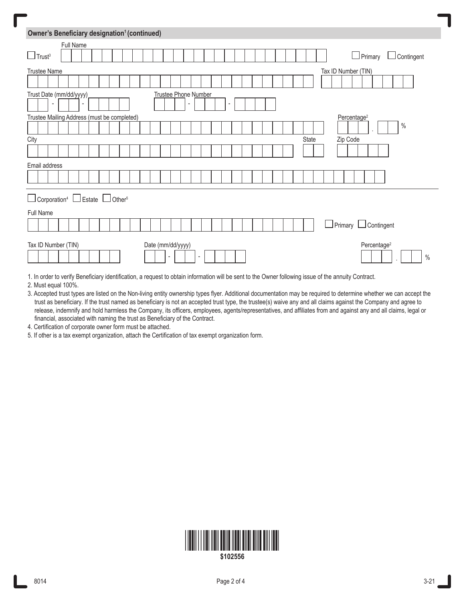| Owner's Beneficiary designation <sup>1</sup> (continued)                                                                            |
|-------------------------------------------------------------------------------------------------------------------------------------|
| Full Name                                                                                                                           |
| $\Box$ Trust <sup>3</sup><br>Primary<br>Contingent                                                                                  |
| <b>Trustee Name</b><br>Tax ID Number (TIN)                                                                                          |
|                                                                                                                                     |
| Trust Date (mm/dd/yyyy)<br>Trustee Phone Number<br>٠<br>-                                                                           |
| Trustee Mailing Address (must be completed)<br>Percentage <sup>2</sup>                                                              |
| $\%$                                                                                                                                |
| Zip Code<br>City<br>State                                                                                                           |
|                                                                                                                                     |
| Email address                                                                                                                       |
|                                                                                                                                     |
| $\Box$ Corporation <sup>4</sup> $\Box$ Estate $\Box$ Other <sup>5</sup>                                                             |
| Full Name<br><u> I</u> Primary<br>$\Box$ Contingent                                                                                 |
| Date (mm/dd/yyyy)<br>Percentage <sup>2</sup><br>Tax ID Number (TIN)<br>$\%$<br>$\overline{\phantom{a}}$<br>$\overline{\phantom{a}}$ |

1. In order to verify Beneficiary identification, a request to obtain information will be sent to the Owner following issue of the annuity Contract.

2. Must equal 100%.

3. Accepted trust types are listed on the Non-living entity ownership types flyer. Additional documentation may be required to determine whether we can accept the trust as beneficiary. If the trust named as beneficiary is not an accepted trust type, the trustee(s) waive any and all claims against the Company and agree to release, indemnify and hold harmless the Company, its officers, employees, agents/representatives, and affiliates from and against any and all claims, legal or financial, associated with naming the trust as Beneficiary of the Contract.

4. Certification of corporate owner form must be attached.

5. If other is a tax exempt organization, attach the Certification of tax exempt organization form.

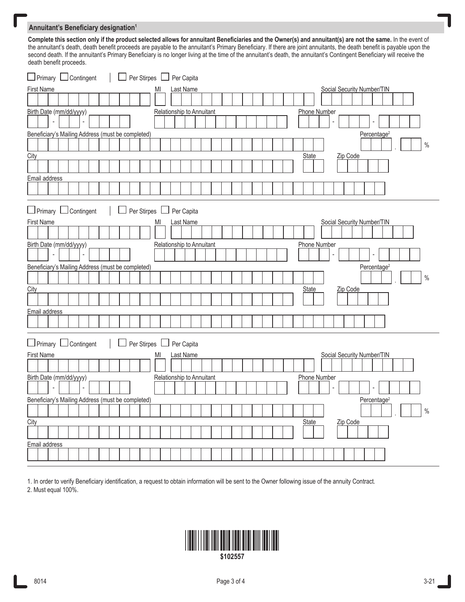## **Annuitant's Beneficiary designation<sup>1</sup>**

**Complete this section only if the product selected allows for annuitant Beneficiaries and the Owner(s) and annuitant(s) are not the same.** In the event of the annuitant's death, death benefit proceeds are payable to the annuitant's Primary Beneficiary. If there are joint annuitants, the death benefit is payable upon the second death. If the annuitant's Primary Beneficiary is no longer living at the time of the annuitant's death, the annuitant's Contingent Beneficiary will receive the death benefit proceeds.

| $\Box$ Primary $\Box$ Contingent<br>Per Stirpes   Per Capita                   |
|--------------------------------------------------------------------------------|
| <b>First Name</b><br>Social Security Number/TIN<br>MI<br>Last Name             |
|                                                                                |
| Birth Date (mm/dd/yyyy)<br>Relationship to Annuitant<br>Phone Number           |
|                                                                                |
| Beneficiary's Mailing Address (must be completed)<br>Percentage <sup>2</sup>   |
| $\%$                                                                           |
| City<br>Zip Code<br>State                                                      |
|                                                                                |
| Email address                                                                  |
|                                                                                |
| □ Primary □ Contingent<br>Per Stirpes L<br>$\Box$ Per Capita                   |
| <b>First Name</b><br>Social Security Number/TIN<br><b>Last Name</b><br>MI      |
|                                                                                |
| Birth Date (mm/dd/yyyy)<br>Relationship to Annuitant<br>Phone Number           |
|                                                                                |
| Beneficiary's Mailing Address (must be completed)<br>Percentage <sup>2</sup>   |
| $\%$                                                                           |
| City<br><b>State</b><br>Zip Code                                               |
|                                                                                |
| Email address                                                                  |
|                                                                                |
| □ Primary □ Contingent<br>Per Stirpes   Per Capita                             |
| <b>First Name</b><br>Last Name<br>Social Security Number/TIN<br>M <sub>l</sub> |
|                                                                                |
| Birth Date (mm/dd/yyyy)<br>Relationship to Annuitant<br>Phone Number           |
| $\overline{\phantom{a}}$                                                       |
| Beneficiary's Mailing Address (must be completed)<br>Percentage <sup>2</sup>   |
| $\%$                                                                           |
| City<br>State<br>Zip Code                                                      |
|                                                                                |
| Email address                                                                  |
|                                                                                |

1. In order to verify Beneficiary identification, a request to obtain information will be sent to the Owner following issue of the annuity Contract. 2. Must equal 100%.